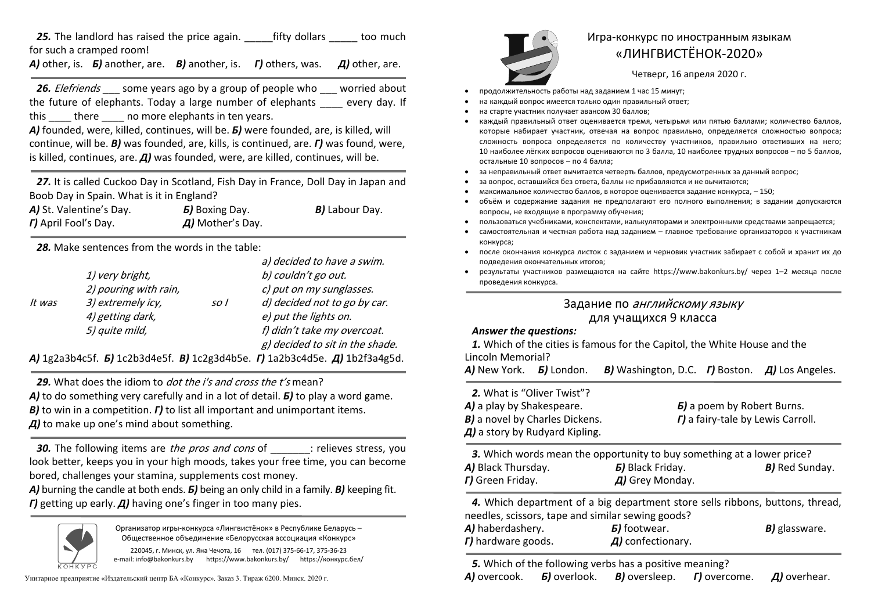*25.* The landlord has raised the price again. \_\_\_\_\_fifty dollars \_\_\_\_\_ too much for such a cramped room!

*А*) other, is. *Б***) another, are. В) another, is. Г) others, was. Д) other, are.** 

*26.* Elefriends \_\_\_ some years ago by a group of people who \_\_\_ worried about the future of elephants. Today a large number of elephants every day. If this there no more elephants in ten years.

*А)* founded, were, killed, continues, will be. *Б)* were founded, are, is killed, will continue, will be. *В)* was founded, are, kills, is continued, are. *Г)* was found, were, is killed, continues, are. Д) was founded, were, are killed, continues, will be.

*27.* It is called Cuckoo Day in Scotland, Fish Day in France, Doll Day in Japan and Boob Day in Spain. What is it in England?

| A) St. Valentine's Day.     | <b><i>b</i></b> Boxing Day.    | <b>B)</b> Labour Day. |
|-----------------------------|--------------------------------|-----------------------|
| <b>r)</b> April Fool's Day. | $\overline{A}$ ) Mother's Day. |                       |

*28.* Make sentences from the words in the table:

|        |                                                                                                                                                                                                                                                                                                                                    |                 | a) decided to have a swim.                                                                                                                                                                                                                                                                                                                                                                                                                                                                 |
|--------|------------------------------------------------------------------------------------------------------------------------------------------------------------------------------------------------------------------------------------------------------------------------------------------------------------------------------------|-----------------|--------------------------------------------------------------------------------------------------------------------------------------------------------------------------------------------------------------------------------------------------------------------------------------------------------------------------------------------------------------------------------------------------------------------------------------------------------------------------------------------|
|        | 1) very bright,                                                                                                                                                                                                                                                                                                                    |                 | b) couldn't go out.                                                                                                                                                                                                                                                                                                                                                                                                                                                                        |
|        | 2) pouring with rain,                                                                                                                                                                                                                                                                                                              |                 | c) put on my sunglasses.                                                                                                                                                                                                                                                                                                                                                                                                                                                                   |
| lt was | 3) extremely icy,                                                                                                                                                                                                                                                                                                                  | SO <sub>1</sub> | d) decided not to go by car.                                                                                                                                                                                                                                                                                                                                                                                                                                                               |
|        | 4) getting dark,                                                                                                                                                                                                                                                                                                                   |                 | e) put the lights on.                                                                                                                                                                                                                                                                                                                                                                                                                                                                      |
|        | 5) quite mild,                                                                                                                                                                                                                                                                                                                     |                 | f) didn't take my overcoat.                                                                                                                                                                                                                                                                                                                                                                                                                                                                |
|        |                                                                                                                                                                                                                                                                                                                                    |                 | g) decided to sit in the shade.                                                                                                                                                                                                                                                                                                                                                                                                                                                            |
|        | $\mathsf{F}$ $\mathsf{F}$ $\mathsf{F}$ $\mathsf{F}$ $\mathsf{F}$ $\mathsf{F}$ $\mathsf{F}$ $\mathsf{F}$ $\mathsf{F}$ $\mathsf{F}$ $\mathsf{F}$ $\mathsf{F}$ $\mathsf{F}$ $\mathsf{F}$ $\mathsf{F}$ $\mathsf{F}$ $\mathsf{F}$ $\mathsf{F}$ $\mathsf{F}$ $\mathsf{F}$ $\mathsf{F}$ $\mathsf{F}$ $\mathsf{F}$ $\mathsf{F}$ $\mathsf{$ |                 | $\blacksquare$ $\blacksquare$ $\blacksquare$ $\blacksquare$ $\blacksquare$ $\blacksquare$ $\blacksquare$ $\blacksquare$ $\blacksquare$ $\blacksquare$ $\blacksquare$ $\blacksquare$ $\blacksquare$ $\blacksquare$ $\blacksquare$ $\blacksquare$ $\blacksquare$ $\blacksquare$ $\blacksquare$ $\blacksquare$ $\blacksquare$ $\blacksquare$ $\blacksquare$ $\blacksquare$ $\blacksquare$ $\blacksquare$ $\blacksquare$ $\blacksquare$ $\blacksquare$ $\blacksquare$ $\blacksquare$ $\blacks$ |

*А)* 1g2a3b4c5f. *Б)* 1c2b3d4e5f. *В)* 1c2g3d4b5e. *Г)* 1a2b3c4d5e. *Д)* 1b2f3a4g5d.

**29.** What does the idiom to *dot the i's and cross the t's* mean? *А)* to do something very carefully and in a lot of detail. *Б)* to play a word game. *В*) to win in a competition.  $\Gamma$ ) to list all important and unimportant items. *Д)* to make up one's mind about something.

**30.** The following items are *the pros and cons* of : relieves stress, you look better, keeps you in your high moods, takes your free time, you can become bored, challenges your stamina, supplements cost money.

*А***)** burning the candle at both ends. *Б*) being an only child in a family. *В*) keeping fit. *Г)* getting up early. *Д)* having one's finger in too many pies.



Организатор игры-конкурса «Лингвистёнок» <sup>в</sup> Республике Беларусь – Общественное объединение «Белорусская ассоциация «Конкурс»

220045, <sup>г</sup>. Минск, ул. Яна Чечота, 16 тел. (017) 375-66-17, 375-36-23 e-mail: info@bakonkurs.by https://www.bakonkurs.by/ https://конкурс.бел/

Унитарное предприятие «Издательский центр БА «Конкурс». Заказ 3. Тираж 6200. Минск. 2020 <sup>г</sup>. *А)* overcook.



## Игра-конкурс по иностранным языкам «ЛИНГВИСТЁНОК-2020»

Четверг, 16 апреля 2020 г.

- . продолжительность работы над заданием 1 час 15 минут;
- . на каждый вопрос имеется только один правильный ответ;
- . на старте участник получает авансом 30 баллов;
- . каждый правильный ответ оценивается тремя, четырьмя или пятью баллами; количество баллов, которые набирает участник, отвечая на вопрос правильно, определяется сложностью вопроса; сложность вопроса определяется по количеству участников, правильно ответивших на него; 10 наиболее лёгких вопросов оцениваются по 3 балла, 10 наиболее трудных вопросов – по 5 баллов, остальные 10 вопросов – по 4 балла;
- . за неправильный ответ вычитается четверть баллов, предусмотренных за данный вопрос;
- . за вопрос, оставшийся без ответа, баллы не прибавляются <sup>и</sup> не вычитаются;
- . максимальное количество баллов, <sup>в</sup> которое оценивается задание конкурса, – 150;
- $\bullet$  объём и содержание задания не предполагают его полного выполнения; в задании допускаются вопросы, не входящие <sup>в</sup> программу обучения;
- . пользоваться учебниками, конспектами, калькуляторами <sup>и</sup> электронными средствами запрещается;
- ۰ самостоятельная и честная работа над заданием – главное требование организаторов <sup>к</sup> участникам конкурса;
- . после окончания конкурса листок <sup>с</sup> заданием <sup>и</sup> черновик участник забирает <sup>с</sup> собой <sup>и</sup> хранит их до подведения окончательных итогов;
- . результаты участников размещаются на сайте https://www.bakonkurs.by/ через 1–2 месяца после проведения конкурса.

## Задание по английскому языку для учащихся 9 класса

## *Answer the questions:*

*1.* Which of the cities is famous for the Capitol, the White House and the Lincoln Memorial?

*А)* New York. *Б)* London. *В)* Washington, D.C. *Г)* Boston. *Д)* Los Angeles.

*2.* What is "Oliver Twist"? *А)* a play by Shakespeare. *Б)* a poem by Robert Burns. *В)* a novel by Charles Dickens. *Г)* a fairy-tale by Lewis Carroll. *Д)* a story by Rudyard Kipling.

| 3. Which words mean the opportunity to buy something at a lower price? |                                 |                       |  |  |
|------------------------------------------------------------------------|---------------------------------|-----------------------|--|--|
| <b>A)</b> Black Thursday.                                              | <b><i>B</i></b> ) Black Friday. | <b>B)</b> Red Sunday. |  |  |
| <b>r</b> ) Green Friday.                                               | $\overline{A}$ ) Grey Monday.   |                       |  |  |

*4.* Which department of a big department store sells ribbons, buttons, thread, needles, scissors, tape and similar sewing goods?

| A) haberdashery.          | <b><i>B</i></b> footwear.       | <b>B)</b> glassware. |
|---------------------------|---------------------------------|----------------------|
| <b>r)</b> hardware goods. | $\overline{A}$ ) confectionary. |                      |

*5.* Which of the following verbs has a positive meaning? *Б*) overlook. *B)* oversleep. *Г*) overcome. *Д*) overhear.